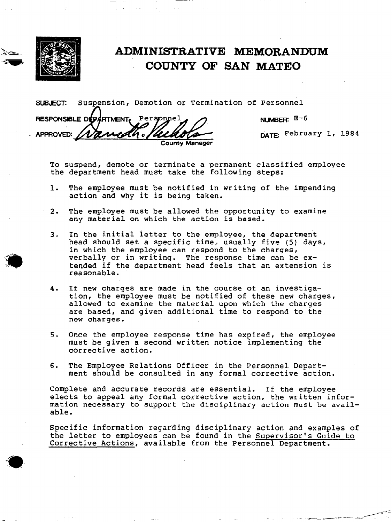

# $\bf ADMINISTRATIVE\textcolor{red}{MEMORANDUM}$ COUNTY OF SAN MATEO

suBJEcr Suspension, Demotion or Termination of Personnel n RESPONSIBLE DEPARTMENT. Personnel NUMSER: E-6 DATE: February 1, 1984 APPROVED: edh Ib

To suspend, demote or terminate a permanent classified employee the department head must take the following steps:

1. The employee must be notified in writing of the impending action and why it is being taken.

**County Manager** 

- 2. The employee must be allowed the opportunity to examine any material on which the action is based.
- 3. In the initial letter to the employee, the department head should set a specific time, usually five (5) days, in which the employee can respond to the charges, verbally or in writing. The response time can be extended if the department head feels that an extension is reasonable.
- 4. If new charges are made in the course of an investigation, the employee must be notified of these new charges, allowed to examine the material upon which the charges are based, and given additional time to respond to the new charges.
- 5. Once the employee response time has expired, the employee must be given a second written notice implementing the corrective action.
- 6. The Employee Relations Officer in the Personnel Department should be consulted in any formal corrective action.

Complete and accurate records are essential. If the employee elects to appeal any formal corrective action, the written information necessary to support the disciplinary action must be available.

Specific information regarding disciplinary action and examples of the letter to employees can be found in the Supervisor's Guide to Corrective Actions, available from the Personnel Department.